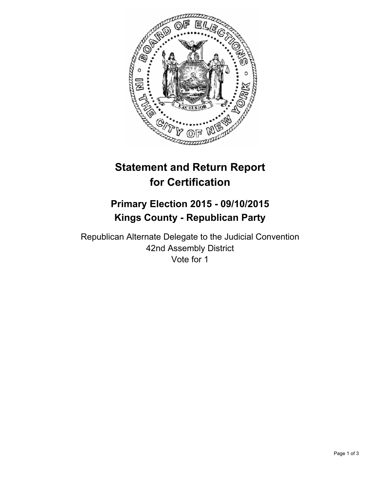

# **Statement and Return Report for Certification**

## **Primary Election 2015 - 09/10/2015 Kings County - Republican Party**

Republican Alternate Delegate to the Judicial Convention 42nd Assembly District Vote for 1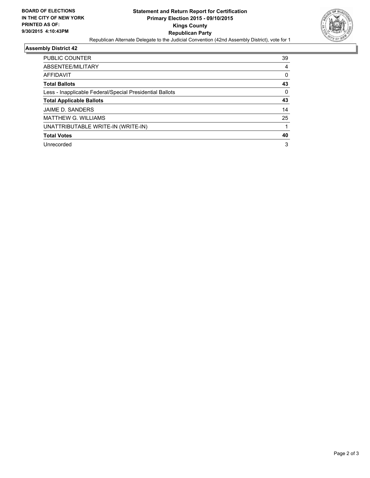

## **Assembly District 42**

| PUBLIC COUNTER                                           | 39       |
|----------------------------------------------------------|----------|
| ABSENTEE/MILITARY                                        | 4        |
| AFFIDAVIT                                                | 0        |
| <b>Total Ballots</b>                                     | 43       |
| Less - Inapplicable Federal/Special Presidential Ballots | $\Omega$ |
| <b>Total Applicable Ballots</b>                          | 43       |
| JAIME D. SANDERS                                         | 14       |
| <b>MATTHEW G. WILLIAMS</b>                               | 25       |
| UNATTRIBUTABLE WRITE-IN (WRITE-IN)                       |          |
| <b>Total Votes</b>                                       | 40       |
| Unrecorded                                               | 3        |